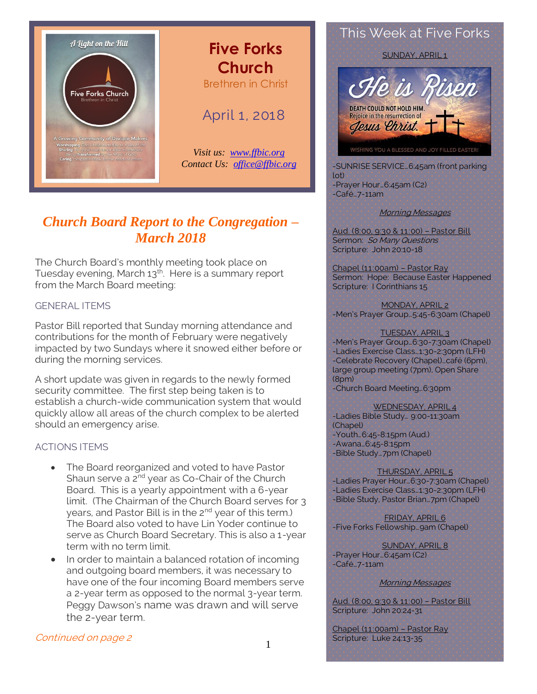

## **Five Forks Church** Brethren in Christ

## April 1, 2018

*Visit us: [www.ffbic.org](http://www.ffbic.org/) Contact Us: [office@ffbic.org](mailto:office@ffbic.org)*

## *Church Board Report to the Congregation – March 2018*

The Church Board's monthly meeting took place on Tuesday evening, March 13<sup>th</sup>. Here is a summary report from the March Board meeting:

## GENERAL ITEMS

Pastor Bill reported that Sunday morning attendance and contributions for the month of February were negatively impacted by two Sundays where it snowed either before or during the morning services.

A short update was given in regards to the newly formed security committee. The first step being taken is to establish a church-wide communication system that would quickly allow all areas of the church complex to be alerted should an emergency arise.

### ACTIONS ITEMS

- The Board reorganized and voted to have Pastor Shaun serve a 2<sup>nd</sup> year as Co-Chair of the Church Board. This is a yearly appointment with a 6-year limit. (The Chairman of the Church Board serves for 3 years, and Pastor Bill is in the 2<sup>nd</sup> year of this term.) The Board also voted to have Lin Yoder continue to serve as Church Board Secretary. This is also a 1-year term with no term limit.
- In order to maintain a balanced rotation of incoming and outgoing board members, it was necessary to have one of the four incoming Board members serve a 2-year term as opposed to the normal 3-year term. Peggy Dawson's name was drawn and will serve the 2-year term.

### Continued on page 2

This Week at Five Forks

SUNDAY, APRIL'1



-SUNRISE SERVICE…6:45am (front parking lot) -Prayer Hour…6:45am (C2) -Café…7-11am

#### Morning Messages

Aud. (8:00, 9:30 & 11:00) – Pastor Bill Sermon: So Many Questions Scripture: John 20:10-18

Chapel (11:00am) – Pastor Ray Sermon: Hope: Because Easter Happened Scripture: I Corinthians 15

MONDAY, APRIL 2 -Men's Prayer Group…5:45-6:30am (Chapel)

#### TUESDAY, APRIL 3

-Men's Prayer Group…6:30-7:30am (Chapel) -Ladies Exercise Class…1:30-2:30pm (LFH) -Celebrate Recovery (Chapel)…café (6pm), large group meeting (7pm), Open Share (8pm)

-Church Board Meeting…6:30pm

WEDNESDAY, APRIL 4 -Ladies Bible Study… 9:00-11:30am (Chapel) -Youth…6:45-8:15pm (Aud.) -Awana…6:45-8:15pm -Bible Study…7pm (Chapel)

#### THURSDAY, APRIL 5

-Ladies Prayer Hour…6:30-7:30am (Chapel) -Ladies Exercise Class…1:30-2:30pm (LFH) -Bible Study, Pastor Brian…7pm (Chapel)

FRIDAY, APRIL 6 -Five Forks Fellowship…9am (Chapel)

SUNDAY, APRIL 8 -Prayer Hour…6:45am (C2) -Café…7-11am

Morning Messages

Aud. (8:00, 9:30 & 11:00) – Pastor Bill Scripture: John 20:24-31

Chapel (11:00am) – Pastor Ray Scripture: Luke 24:13-35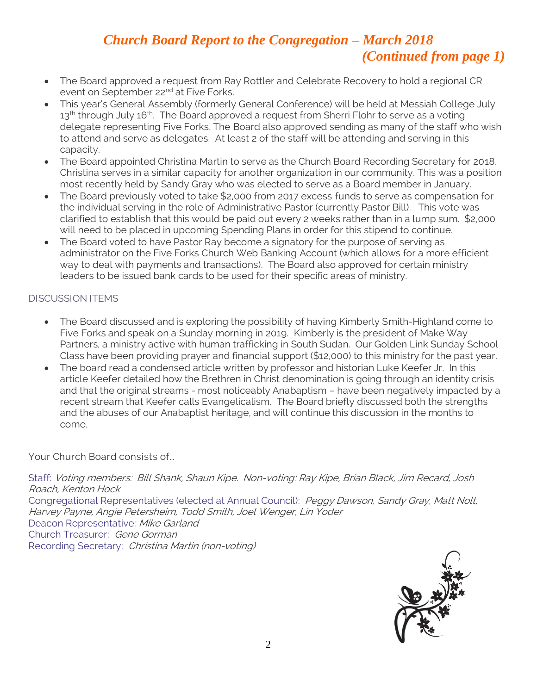# *Church Board Report to the Congregation – March 2018 (Continued from page 1)*

- The Board approved a request from Ray Rottler and Celebrate Recovery to hold a regional CR event on September 22<sup>nd</sup> at Five Forks.
- This year's General Assembly (formerly General Conference) will be held at Messiah College July  $13^{\text{th}}$  through July  $16^{\text{th}}$ . The Board approved a request from Sherri Flohr to serve as a voting delegate representing Five Forks. The Board also approved sending as many of the staff who wish to attend and serve as delegates. At least 2 of the staff will be attending and serving in this capacity.
- The Board appointed Christina Martin to serve as the Church Board Recording Secretary for 2018. Christina serves in a similar capacity for another organization in our community. This was a position most recently held by Sandy Gray who was elected to serve as a Board member in January.
- The Board previously voted to take \$2,000 from 2017 excess funds to serve as compensation for the individual serving in the role of Administrative Pastor (currently Pastor Bill). This vote was clarified to establish that this would be paid out every 2 weeks rather than in a lump sum. \$2,000 will need to be placed in upcoming Spending Plans in order for this stipend to continue.
- The Board voted to have Pastor Ray become a signatory for the purpose of serving as administrator on the Five Forks Church Web Banking Account (which allows for a more efficient way to deal with payments and transactions). The Board also approved for certain ministry leaders to be issued bank cards to be used for their specific areas of ministry.

## DISCUSSION ITEMS

- The Board discussed and is exploring the possibility of having Kimberly Smith-Highland come to Five Forks and speak on a Sunday morning in 2019. Kimberly is the president of Make Way Partners, a ministry active with human trafficking in South Sudan. Our Golden Link Sunday School Class have been providing prayer and financial support (\$12,000) to this ministry for the past year.
- The board read a condensed article written by professor and historian Luke Keefer Jr. In this article Keefer detailed how the Brethren in Christ denomination is going through an identity crisis and that the original streams - most noticeably Anabaptism – have been negatively impacted by a recent stream that Keefer calls Evangelicalism. The Board briefly discussed both the strengths and the abuses of our Anabaptist heritage, and will continue this discussion in the months to come.

## Your Church Board consists of…

Staff: Voting members: Bill Shank, Shaun Kipe. Non-voting: Ray Kipe, Brian Black, Jim Recard, Josh Roach, Kenton Hock Congregational Representatives (elected at Annual Council): Peggy Dawson, Sandy Gray, Matt Nolt, Harvey Payne, Angie Petersheim, Todd Smith, Joel Wenger, Lin Yoder Deacon Representative: Mike Garland Church Treasurer: Gene Gorman

Recording Secretary: Christina Martin (non-voting)

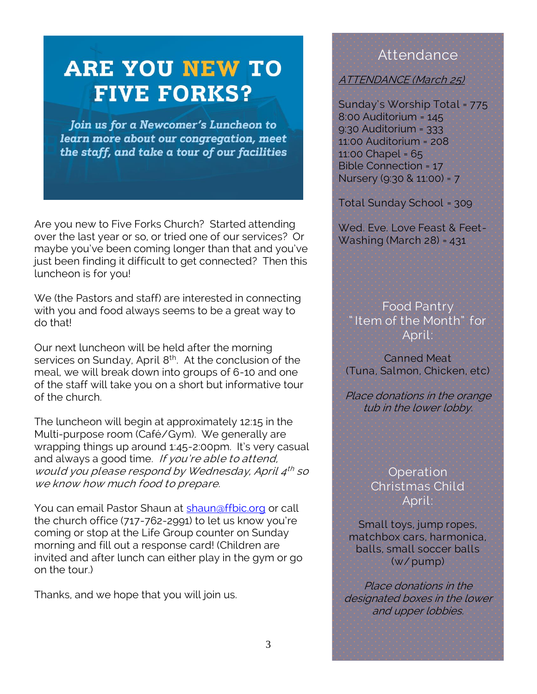# **ARE YOU NEW TO FIVE FORKS?**

Join us for a Newcomer's Luncheon to learn more about our congregation, meet the staff, and take a tour of our facilities

Are you new to Five Forks Church? Started attending over the last year or so, or tried one of our services? Or maybe you've been coming longer than that and you've just been finding it difficult to get connected? Then this luncheon is for you!

We (the Pastors and staff) are interested in connecting with you and food always seems to be a great way to do that!

Our next luncheon will be held after the morning services on Sunday, April 8<sup>th</sup>. At the conclusion of the meal, we will break down into groups of 6-10 and one of the staff will take you on a short but informative tour of the church.

The luncheon will begin at approximately 12:15 in the Multi-purpose room (Café/Gym). We generally are wrapping things up around 1:45-2:00pm. It's very casual and always a good time. If you're able to attend, would you please respond by Wednesday, April 4 th so we know how much food to prepare.

You can email Pastor Shaun at [shaun@ffbic.org](mailto:shaun@ffbic.org) or call the church office (717-762-2991) to let us know you're coming or stop at the Life Group counter on Sunday morning and fill out a response card! (Children are invited and after lunch can either play in the gym or go on the tour.)

Thanks, and we hope that you will join us.

## **Attendance**

## ATTENDANCE (March 25)

Sunday's Worship Total = 775 8:00 Auditorium = 145 9:30 Auditorium = 333 11:00 Auditorium = 208 11:00 Chapel = 65 Bible Connection = 17 Nursery (9:30 & 11:00) = 7

Total Sunday School = 309

Wed. Eve. Love Feast & Feet-Washing (March 28) = 431

Food Pantry " Item of the Month" for April:

Canned Meat. (Tuna, Salmon, Chicken, etc)

Place donations in the orange tub in the lower lobby.

> **Operation** Christmas Child April:

Small toys, jump ropes, matchbox cars, harmonica, balls, small soccer balls (w/ pump)

Place donations in the designated boxes in the lower and upper lobbies.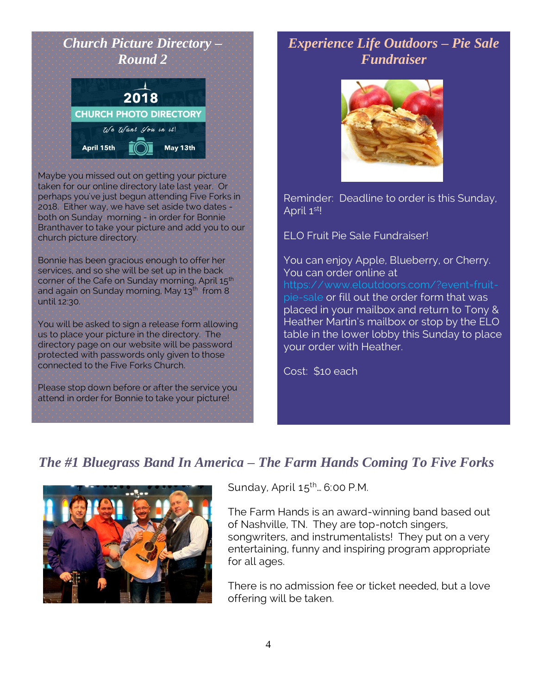# *Church Picture Directory – Round 2* 2018 **CHURCH PHOTO DIRECTORY** We Want you in it! April 15th May 13th

Maybe you missed out on getting your picture taken for our online directory late last year. Or perhaps you've just begun attending Five Forks in 2018. Either way, we have set aside two dates both on Sunday morning - in order for Bonnie Branthaver to take your picture and add you to our church picture directory.

Bonnie has been gracious enough to offer her services, and so she will be set up in the back corner of the Cafe on Sunday morning, April 15<sup>th</sup> and again on Sunday morning, May 13<sup>th</sup> from 8 until 12:30.

You will be asked to sign a release form allowing us to place your picture in the directory. The directory page on our website will be password protected with passwords only given to those connected to the Five Forks Church.

Please stop down before or after the service you attend in order for Bonnie to take your picture!

## *Experience Life Outdoors – Pie Sale Fundraiser*



Reminder: Deadline to order is this Sunday, April 1<sup>st</sup>!

ELO Fruit Pie Sale Fundraiser!

You can enjoy Apple, Blueberry, or Cherry. You can order online at [https://www.eloutdoors.com/?event=fruit](https://www.eloutdoors.com/?event=fruit-pie-sale)[pie-sale](https://www.eloutdoors.com/?event=fruit-pie-sale) or fill out the order form that was placed in your mailbox and return to Tony &

Heather Martin's mailbox or stop by the ELO table in the lower lobby this Sunday to place your order with Heather.

Cost: \$10 each

# *The #1 Bluegrass Band In America – The Farm Hands Coming To Five Forks*



Sunday, April  $15^{th}$ ... 6:00 P.M.

The Farm Hands is an award-winning band based out of Nashville, TN. They are top-notch singers, songwriters, and instrumentalists! They put on a very entertaining, funny and inspiring program appropriate for all ages.

There is no admission fee or ticket needed, but a love offering will be taken.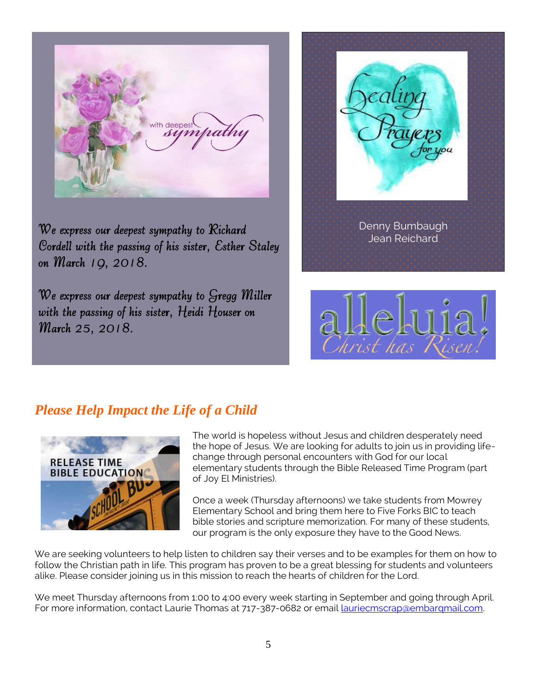with deepest suntrath

*We express our deepest sympathy to Richard Cordell with the passing of his sister, Esther Staley on March 19, 2018.* 

*We express our deepest sympathy to Gregg Miller with the passing of his sister, Heidi Houser on March 25, 2018.* 



# *Please Help Impact the Life of a Child*



The world is hopeless without Jesus and children desperately need the hope of Jesus. We are looking for adults to join us in providing lifechange through personal encounters with God for our local elementary students through the Bible Released Time Program (part of Joy El Ministries).

Once a week (Thursday afternoons) we take students from Mowrey Elementary School and bring them here to Five Forks BIC to teach bible stories and scripture memorization. For many of these students, our program is the only exposure they have to the Good News.

We are seeking volunteers to help listen to children say their verses and to be examples for them on how to follow the Christian path in life. This program has proven to be a great blessing for students and volunteers alike. Please consider joining us in this mission to reach the hearts of children for the Lord.

We meet Thursday afternoons from 1:00 to 4:00 every week starting in September and going through April. For more information, contact Laurie Thomas at 717-387-0682 or email lauriecmscrap@embarqmail.com.